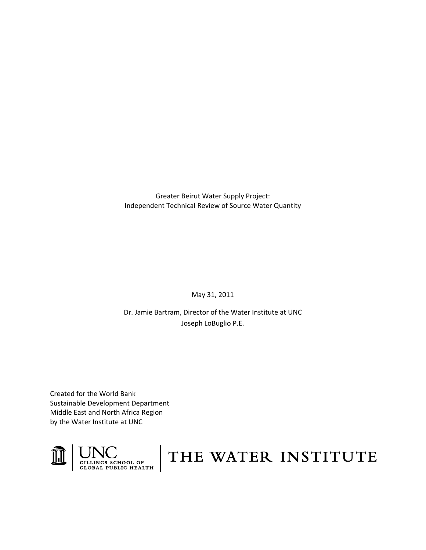Greater Beirut Water Supply Project: Independent Technical Review of Source Water Quantity

May 31, 2011

Dr. Jamie Bartram, Director of the Water Institute at UNC Joseph LoBuglio P.E.

Created for the World Bank Sustainable Development Department Middle East and North Africa Region by the Water Institute at UNC



# THE WATER INSTITUTE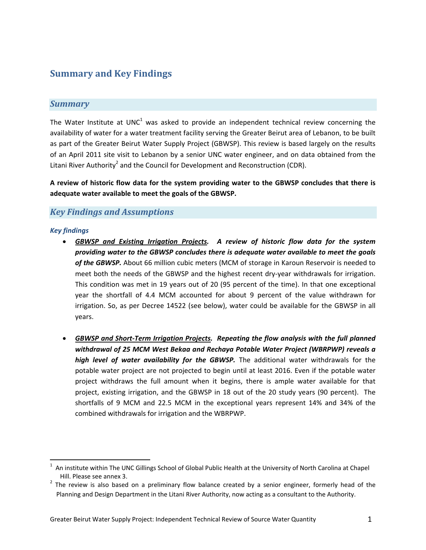# **Summary and Key Findings**

## *Summary*

The Water Institute at UNC<sup>1</sup> was asked to provide an independent technical review concerning the availability of water for a water treatment facility serving the Greater Beirut area of Lebanon, to be built as part of the Greater Beirut Water Supply Project (GBWSP). This review is based largely on the results of an April 2011 site visit to Lebanon by a senior UNC water engineer, and on data obtained from the Litani River Authority<sup>2</sup> and the Council for Development and Reconstruction (CDR).

**A review of historic flow data for the system providing water to the GBWSP concludes that there is adequate water available to meet the goals of the GBWSP.**

## *Key Findings and Assumptions*

#### *Key findings*

- *GBWSP and Existing Irrigation Projects. A review of historic flow data for the system providing water to the GBWSP concludes there is adequate water available to meet the goals of the GBWSP.* About 66 million cubic meters (MCM of storage in Karoun Reservoir is needed to meet both the needs of the GBWSP and the highest recent dry-year withdrawals for irrigation. This condition was met in 19 years out of 20 (95 percent of the time). In that one exceptional year the shortfall of 4.4 MCM accounted for about 9 percent of the value withdrawn for irrigation. So, as per Decree 14522 (see below), water could be available for the GBWSP in all years.
- *GBWSP and Short‐Term Irrigation Projects. Repeating the flow analysis with the full planned withdrawal of 25 MCM West Bekaa and Rechaya Potable Water Project (WBRPWP) reveals a high level of water availability for the GBWSP.* The additional water withdrawals for the potable water project are not projected to begin until at least 2016. Even if the potable water project withdraws the full amount when it begins, there is ample water available for that project, existing irrigation, and the GBWSP in 18 out of the 20 study years (90 percent). The shortfalls of 9 MCM and 22.5 MCM in the exceptional years represent 14% and 34% of the combined withdrawals for irrigation and the WBRPWP.

 $1$  An institute within The UNC Gillings School of Global Public Health at the University of North Carolina at Chapel

Hill. Please see annex 3.<br><sup>2</sup> The review is also based on a preliminary flow balance created by a senior engineer, formerly head of the Planning and Design Department in the Litani River Authority, now acting as a consultant to the Authority.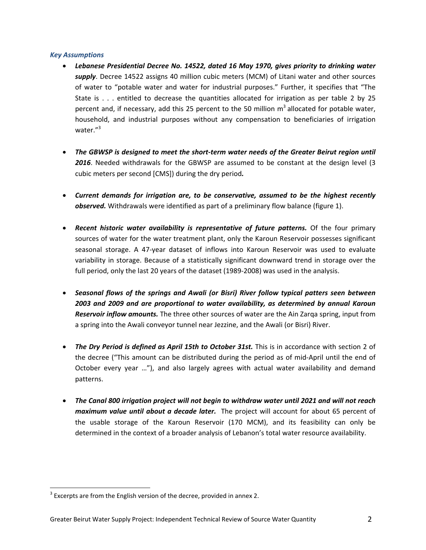#### *Key Assumptions*

- *Lebanese Presidential Decree No. 14522, dated 16 May 1970, gives priority to drinking water supply*. Decree 14522 assigns 40 million cubic meters (MCM) of Litani water and other sources of water to "potable water and water for industrial purposes." Further, it specifies that "The State is . . . entitled to decrease the quantities allocated for irrigation as per table 2 by 25 percent and, if necessary, add this 25 percent to the 50 million  $m<sup>3</sup>$  allocated for potable water, household, and industrial purposes without any compensation to beneficiaries of irrigation water."<sup>3</sup>
- *The GBWSP is designed to meet the short‐term water needs of the Greater Beirut region until 2016*. Needed withdrawals for the GBWSP are assumed to be constant at the design level (3 cubic meters per second [CMS]) during the dry period*.*
- *Current demands for irrigation are, to be conservative, assumed to be the highest recently observed.* Withdrawals were identified as part of a preliminary flow balance (figure 1).
- *Recent historic water availability is representative of future patterns.* Of the four primary sources of water for the water treatment plant, only the Karoun Reservoir possesses significant seasonal storage. A 47‐year dataset of inflows into Karoun Reservoir was used to evaluate variability in storage. Because of a statistically significant downward trend in storage over the full period, only the last 20 years of the dataset (1989-2008) was used in the analysis.
- *Seasonal flows of the springs and Awali (or Bisri) River follow typical patters seen between 2003 and 2009 and are proportional to water availability, as determined by annual Karoun Reservoir inflow amounts.* The three other sources of water are the Ain Zarqa spring, input from a spring into the Awali conveyor tunnel near Jezzine, and the Awali (or Bisri) River.
- *The Dry Period is defined as April 15th to October 31st.* This is in accordance with section 2 of the decree ("This amount can be distributed during the period as of mid‐April until the end of October every year …"), and also largely agrees with actual water availability and demand patterns.
- *The Canal 800 irrigation project will not begin to withdraw water until 2021 and will not reach maximum value until about a decade later.* The project will account for about 65 percent of the usable storage of the Karoun Reservoir (170 MCM), and its feasibility can only be determined in the context of a broader analysis of Lebanon's total water resource availability.

  $3$  Excerpts are from the English version of the decree, provided in annex 2.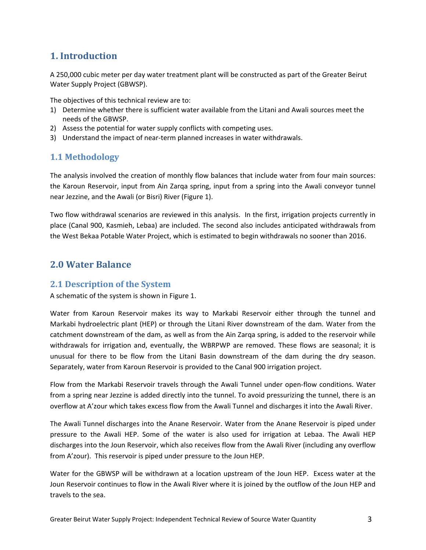# **1. Introduction**

A 250,000 cubic meter per day water treatment plant will be constructed as part of the Greater Beirut Water Supply Project (GBWSP).

The objectives of this technical review are to:

- 1) Determine whether there is sufficient water available from the Litani and Awali sources meet the needs of the GBWSP.
- 2) Assess the potential for water supply conflicts with competing uses.
- 3) Understand the impact of near‐term planned increases in water withdrawals.

## **1.1 Methodology**

The analysis involved the creation of monthly flow balances that include water from four main sources: the Karoun Reservoir, input from Ain Zarqa spring, input from a spring into the Awali conveyor tunnel near Jezzine, and the Awali (or Bisri) River (Figure 1).

Two flow withdrawal scenarios are reviewed in this analysis. In the first, irrigation projects currently in place (Canal 900, Kasmieh, Lebaa) are included. The second also includes anticipated withdrawals from the West Bekaa Potable Water Project, which is estimated to begin withdrawals no sooner than 2016.

# **2.0 Water Balance**

## **2.1 Description of the System**

A schematic of the system is shown in Figure 1.

Water from Karoun Reservoir makes its way to Markabi Reservoir either through the tunnel and Markabi hydroelectric plant (HEP) or through the Litani River downstream of the dam. Water from the catchment downstream of the dam, as well as from the Ain Zarqa spring, is added to the reservoir while withdrawals for irrigation and, eventually, the WBRPWP are removed. These flows are seasonal; it is unusual for there to be flow from the Litani Basin downstream of the dam during the dry season. Separately, water from Karoun Reservoir is provided to the Canal 900 irrigation project.

Flow from the Markabi Reservoir travels through the Awali Tunnel under open‐flow conditions. Water from a spring near Jezzine is added directly into the tunnel. To avoid pressurizing the tunnel, there is an overflow at A'zour which takes excess flow from the Awali Tunnel and discharges it into the Awali River.

The Awali Tunnel discharges into the Anane Reservoir. Water from the Anane Reservoir is piped under pressure to the Awali HEP. Some of the water is also used for irrigation at Lebaa. The Awali HEP discharges into the Joun Reservoir, which also receives flow from the Awali River (including any overflow from A'zour). This reservoir is piped under pressure to the Joun HEP.

Water for the GBWSP will be withdrawn at a location upstream of the Joun HEP. Excess water at the Joun Reservoir continues to flow in the Awali River where it is joined by the outflow of the Joun HEP and travels to the sea.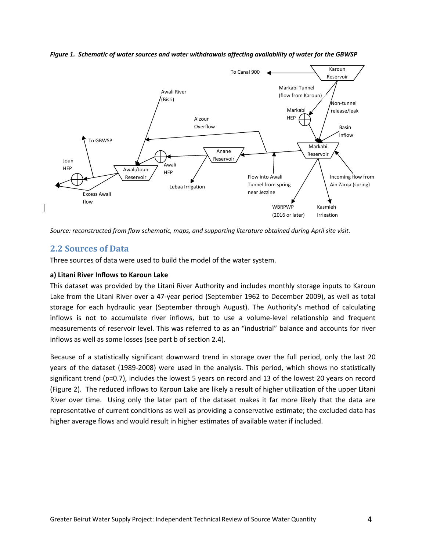*Figure 1. Schematic of water sources and water withdrawals affecting availability of water for the GBWSP*



*Source: reconstructed from flow schematic, maps, and supporting literature obtained during April site visit.*

## **2.2 Sources of Data**

Three sources of data were used to build the model of the water system.

#### **a) Litani River Inflows to Karoun Lake**

This dataset was provided by the Litani River Authority and includes monthly storage inputs to Karoun Lake from the Litani River over a 47‐year period (September 1962 to December 2009), as well as total storage for each hydraulic year (September through August). The Authority's method of calculating inflows is not to accumulate river inflows, but to use a volume-level relationship and frequent measurements of reservoir level. This was referred to as an "industrial" balance and accounts for river inflows as well as some losses (see part b of section 2.4).

Because of a statistically significant downward trend in storage over the full period, only the last 20 years of the dataset (1989-2008) were used in the analysis. This period, which shows no statistically significant trend (p=0.7), includes the lowest 5 years on record and 13 of the lowest 20 years on record (Figure 2). The reduced inflows to Karoun Lake are likely a result of higher utilization of the upper Litani River over time. Using only the later part of the dataset makes it far more likely that the data are representative of current conditions as well as providing a conservative estimate; the excluded data has higher average flows and would result in higher estimates of available water if included.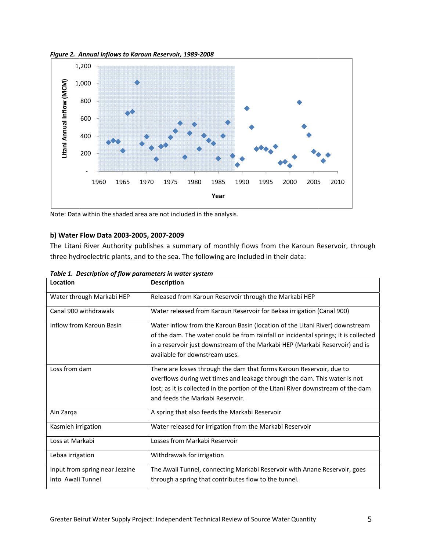



Note: Data within the shaded area are not included in the analysis.

## **b) Water Flow Data 20 003‐2005, 200 07‐2009**

The Litani River Authority publishes a summary of monthly flows from the Karoun Reservoir, through three hydroelectric plants, and to the sea. The following are included in their data:

| Location                                            | <b>Description</b>                                                                                                                                                                                                                                                                    |
|-----------------------------------------------------|---------------------------------------------------------------------------------------------------------------------------------------------------------------------------------------------------------------------------------------------------------------------------------------|
| Water through Markabi HEP                           | Released from Karoun Reservoir through the Markabi HEP                                                                                                                                                                                                                                |
| Canal 900 withdrawals                               | Water released from Karoun Reservoir for Bekaa irrigation (Canal 900)                                                                                                                                                                                                                 |
| Inflow from Karoun Basin                            | Water inflow from the Karoun Basin (location of the Litani River) downstream<br>of the dam. The water could be from rainfall or incidental springs; it is collected<br>in a reservoir just downstream of the Markabi HEP (Markabi Reservoir) and is<br>available for downstream uses. |
| Loss from dam                                       | There are losses through the dam that forms Karoun Reservoir, due to<br>overflows during wet times and leakage through the dam. This water is not<br>lost; as it is collected in the portion of the Litani River downstream of the dam<br>and feeds the Markabi Reservoir.            |
| Ain Zarga                                           | A spring that also feeds the Markabi Reservoir                                                                                                                                                                                                                                        |
| Kasmieh irrigation                                  | Water released for irrigation from the Markabi Reservoir                                                                                                                                                                                                                              |
| Loss at Markabi                                     | Losses from Markabi Reservoir                                                                                                                                                                                                                                                         |
| Lebaa irrigation                                    | Withdrawals for irrigation                                                                                                                                                                                                                                                            |
| Input from spring near Jezzine<br>into Awali Tunnel | The Awali Tunnel, connecting Markabi Reservoir with Anane Reservoir, goes<br>through a spring that contributes flow to the tunnel.                                                                                                                                                    |

*Table 1. D Description of f flow paramete ers in water sy ystem*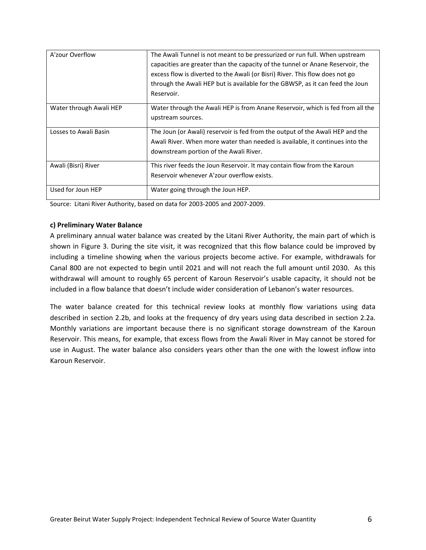| A'zour Overflow         | The Awali Tunnel is not meant to be pressurized or run full. When upstream                          |
|-------------------------|-----------------------------------------------------------------------------------------------------|
|                         | capacities are greater than the capacity of the tunnel or Anane Reservoir, the                      |
|                         | excess flow is diverted to the Awali (or Bisri) River. This flow does not go                        |
|                         | through the Awali HEP but is available for the GBWSP, as it can feed the Joun                       |
|                         | Reservoir.                                                                                          |
| Water through Awali HEP | Water through the Awali HEP is from Anane Reservoir, which is fed from all the<br>upstream sources. |
| Losses to Awali Basin   | The Joun (or Awali) reservoir is fed from the output of the Awali HEP and the                       |
|                         | Awali River. When more water than needed is available, it continues into the                        |
|                         | downstream portion of the Awali River.                                                              |
| Awali (Bisri) River     | This river feeds the Joun Reservoir. It may contain flow from the Karoun                            |
|                         | Reservoir whenever A'zour overflow exists.                                                          |
| Used for Joun HEP       | Water going through the Joun HEP.                                                                   |

Source: Litani River Authority, based on data for 2003‐2005 and 2007‐2009.

#### **c) Preliminary Water Balance**

A preliminary annual water balance was created by the Litani River Authority, the main part of which is shown in Figure 3. During the site visit, it was recognized that this flow balance could be improved by including a timeline showing when the various projects become active. For example, withdrawals for Canal 800 are not expected to begin until 2021 and will not reach the full amount until 2030. As this withdrawal will amount to roughly 65 percent of Karoun Reservoir's usable capacity, it should not be included in a flow balance that doesn't include wider consideration of Lebanon's water resources.

The water balance created for this technical review looks at monthly flow variations using data described in section 2.2b, and looks at the frequency of dry years using data described in section 2.2a. Monthly variations are important because there is no significant storage downstream of the Karoun Reservoir. This means, for example, that excess flows from the Awali River in May cannot be stored for use in August. The water balance also considers years other than the one with the lowest inflow into Karoun Reservoir.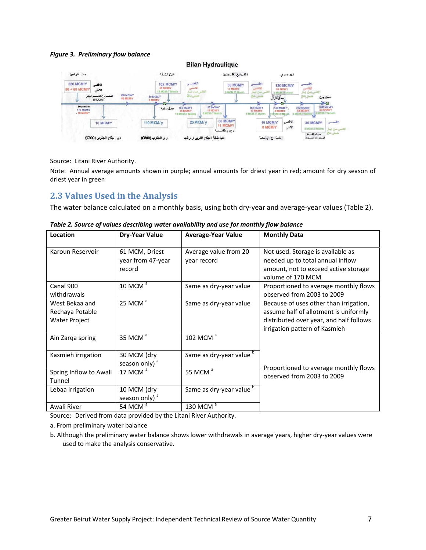#### *Figure 3. Preliminary flow balance*



Source: Litani River Authority.

Note: Annual average amounts shown in purple; annual amounts for driest year in red; amount for dry season of driest year in green

# **2.3 Values Used in the Analysis**

The water balance calculated on a monthly basis, using both dry-year and average-year values (Table 2).

| Location                                                  | <b>Dry-Year Value</b>                         | <b>Average-Year Value</b>            | <b>Monthly Data</b>                                                                                                                                         |
|-----------------------------------------------------------|-----------------------------------------------|--------------------------------------|-------------------------------------------------------------------------------------------------------------------------------------------------------------|
| Karoun Reservoir                                          | 61 MCM, Driest<br>year from 47-year<br>record | Average value from 20<br>year record | Not used. Storage is available as<br>needed up to total annual inflow<br>amount, not to exceed active storage<br>volume of 170 MCM                          |
| Canal 900<br>withdrawals                                  | 10 MCM $a$                                    | Same as dry-year value               | Proportioned to average monthly flows<br>observed from 2003 to 2009                                                                                         |
| West Bekaa and<br>Rechaya Potable<br><b>Water Project</b> | 25 MCM <sup>a</sup>                           | Same as dry-year value               | Because of uses other than irrigation,<br>assume half of allotment is uniformly<br>distributed over year, and half follows<br>irrigation pattern of Kasmieh |
| Ain Zarga spring                                          | 35 MCM <sup>a</sup>                           | 102 MCM <sup>a</sup>                 |                                                                                                                                                             |
| Kasmieh irrigation                                        | 30 MCM (dry<br>season only) <sup>a</sup>      | Same as dry-year value b             |                                                                                                                                                             |
| Spring Inflow to Awali<br>Tunnel                          | 17 MCM <sup>a</sup>                           | 55 MCM <sup>a</sup>                  | Proportioned to average monthly flows<br>observed from 2003 to 2009                                                                                         |
| Lebaa irrigation                                          | 10 MCM (dry<br>season only) <sup>a</sup>      | Same as dry-year value <sup>b</sup>  |                                                                                                                                                             |
| Awali River                                               | 54 MCM <sup>a</sup>                           | 130 MCM <sup>a</sup>                 |                                                                                                                                                             |

*Table 2. Source of values describing water availability and use for monthly flow balance*

Source: Derived from data provided by the Litani River Authority.

a. From preliminary water balance

b. Although the preliminary water balance shows lower withdrawals in average years, higher dry‐year values were used to make the analysis conservative.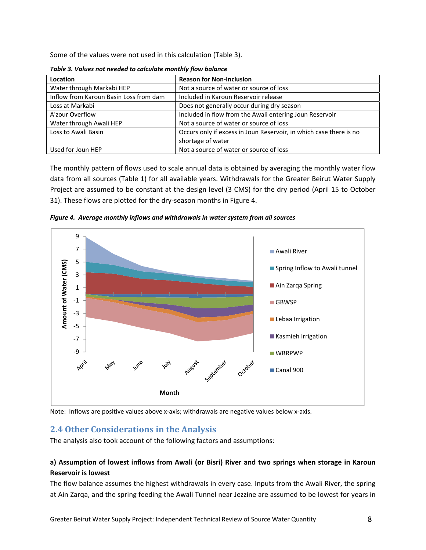Some of the values were not used in this calculation (Table 3).

| Location                               | <b>Reason for Non-Inclusion</b>                                    |
|----------------------------------------|--------------------------------------------------------------------|
| Water through Markabi HEP              | Not a source of water or source of loss                            |
| Inflow from Karoun Basin Loss from dam | Included in Karoun Reservoir release                               |
| Loss at Markabi                        | Does not generally occur during dry season                         |
| A'zour Overflow                        | Included in flow from the Awali entering Joun Reservoir            |
| Water through Awali HEP                | Not a source of water or source of loss                            |
| Loss to Awali Basin                    | Occurs only if excess in Joun Reservoir, in which case there is no |
|                                        | shortage of water                                                  |
| Used for Joun HEP                      | Not a source of water or source of loss                            |

*Table 3. Values not needed to calculate monthly flow balance*

The monthly pattern of flows used to scale annual data is obtained by averaging the monthly water flow data from all sources (Table 1) for all available years. Withdrawals for the Greater Beirut Water Supply Project are assumed to be constant at the design level (3 CMS) for the dry period (April 15 to October 31). These flows are plotted for the dry-season months in Figure 4.





Note: Inflows are positive values above x-axis; withdrawals are negative values below x-axis.

# **2.4 Other Considerations in the Analysis**

The analysis also took account of the following factors and assumptions:

## **a) Assumption of lowest inflows from Awali (or Bisri) River and two springs when storage in Karoun Reservoir is lowest**

The flow balance assumes the highest withdrawals in every case. Inputs from the Awali River, the spring at Ain Zarqa, and the spring feeding the Awali Tunnel near Jezzine are assumed to be lowest for years in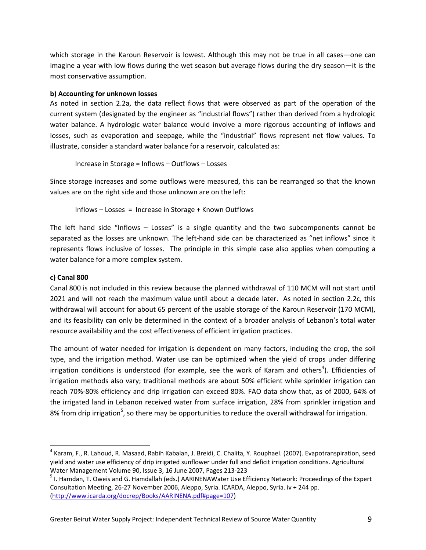which storage in the Karoun Reservoir is lowest. Although this may not be true in all cases—one can imagine a year with low flows during the wet season but average flows during the dry season—it is the most conservative assumption.

#### **b) Accounting for unknown losses**

As noted in section 2.2a, the data reflect flows that were observed as part of the operation of the current system (designated by the engineer as "industrial flows") rather than derived from a hydrologic water balance. A hydrologic water balance would involve a more rigorous accounting of inflows and losses, such as evaporation and seepage, while the "industrial" flows represent net flow values. To illustrate, consider a standard water balance for a reservoir, calculated as:

Increase in Storage = Inflows – Outflows – Losses

Since storage increases and some outflows were measured, this can be rearranged so that the known values are on the right side and those unknown are on the left:

Inflows – Losses = Increase in Storage + Known Outflows

The left hand side "Inflows – Losses" is a single quantity and the two subcomponents cannot be separated as the losses are unknown. The left-hand side can be characterized as "net inflows" since it represents flows inclusive of losses. The principle in this simple case also applies when computing a water balance for a more complex system.

## **c) Canal 800**

Canal 800 is not included in this review because the planned withdrawal of 110 MCM will not start until 2021 and will not reach the maximum value until about a decade later. As noted in section 2.2c, this withdrawal will account for about 65 percent of the usable storage of the Karoun Reservoir (170 MCM), and its feasibility can only be determined in the context of a broader analysis of Lebanon's total water resource availability and the cost effectiveness of efficient irrigation practices.

The amount of water needed for irrigation is dependent on many factors, including the crop, the soil type, and the irrigation method. Water use can be optimized when the yield of crops under differing irrigation conditions is understood (for example, see the work of Karam and others<sup>4</sup>). Efficiencies of irrigation methods also vary; traditional methods are about 50% efficient while sprinkler irrigation can reach 70%‐80% efficiency and drip irrigation can exceed 80%. FAO data show that, as of 2000, 64% of the irrigated land in Lebanon received water from surface irrigation, 28% from sprinkler irrigation and 8% from drip irrigation<sup>5</sup>, so there may be opportunities to reduce the overall withdrawal for irrigation.

 $^4$  Karam, F., R. Lahoud, R. Masaad, Rabih Kabalan, J. Breidi, C. Chalita, Y. Rouphael. (2007). Evapotranspiration, seed yield and water use efficiency of drip irrigated sunflower under full and deficit irrigation conditions. Agricultural

Water Management Volume 90, Issue 3, 16 June 2007, Pages 213-223<br><sup>5</sup> I. Hamdan, T. Oweis and G. Hamdallah (eds.) AARINENAWater Use Efficiency Network: Proceedings of the Expert Consultation Meeting, 26‐27 November 2006, Aleppo, Syria. ICARDA, Aleppo, Syria. iv + 244 pp. (http://www.icarda.org/docrep/Books/AARINENA.pdf#page=107)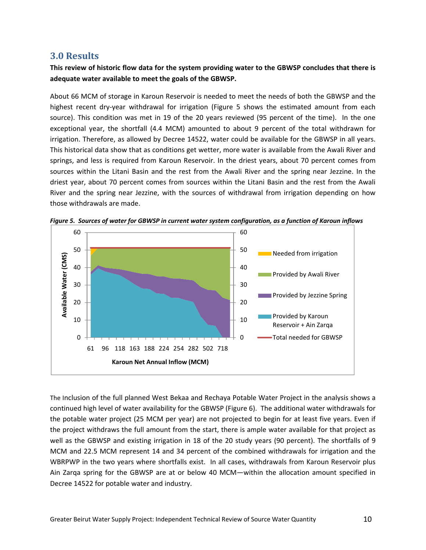## **3.0 Results**

## This review of historic flow data for the system providing water to the GBWSP concludes that there is **adequate water available to meet the goals of the GBWSP.**

About 66 MCM of storage in Karoun Reservoir is needed to meet the needs of both the GBWSP and the highest recent dry-year withdrawal for irrigation (Figure 5 shows the estimated amount from each source). This condition was met in 19 of the 20 years reviewed (95 percent of the time). In the one exceptional year, the shortfall (4.4 MCM) amounted to about 9 percent of the total withdrawn for irrigation. Therefore, as allowed by Decree 14522, water could be available for the GBWSP in all years. This historical data show that as conditions get wetter, more water is available from the Awali River and springs, and less is required from Karoun Reservoir. In the driest years, about 70 percent comes from sources within the Litani Basin and the rest from the Awali River and the spring near Jezzine. In the driest year, about 70 percent comes from sources within the Litani Basin and the rest from the Awali River and the spring near Jezzine, with the sources of withdrawal from irrigation depending on how those withdrawals are made.





The Inclusion of the full planned West Bekaa and Rechaya Potable Water Project in the analysis shows a continued high level of water availability for the GBWSP (Figure 6). The additional water withdrawals for the potable water project (25 MCM per year) are not projected to begin for at least five years. Even if the project withdraws the full amount from the start, there is ample water available for that project as well as the GBWSP and existing irrigation in 18 of the 20 study years (90 percent). The shortfalls of 9 MCM and 22.5 MCM represent 14 and 34 percent of the combined withdrawals for irrigation and the WBRPWP in the two years where shortfalls exist. In all cases, withdrawals from Karoun Reservoir plus Ain Zarqa spring for the GBWSP are at or below 40 MCM—within the allocation amount specified in Decree 14522 for potable water and industry.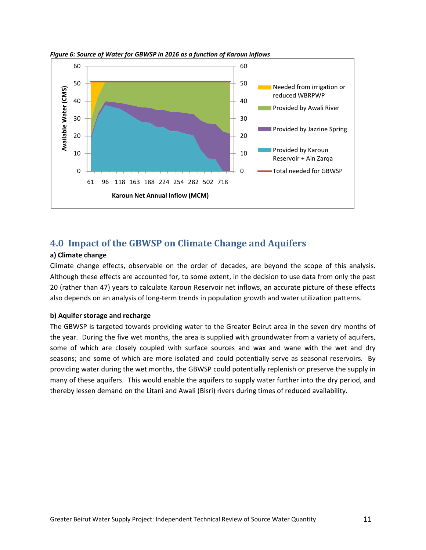

*Figure 6: Source of Water for GBWSP in 2016 as a function of Karoun inflows* 

# **4.0 Impact of the GBWSP on Climate Change and Aquifers**

#### **a) Climate change**

Climate change effects, observable on the order of decades, are beyond the scope of this analysis. Although these effects are accounted for, to some extent, in the decision to use data from only the past 20 (rather than 47) years to calculate Karoun Reservoir net inflows, an accurate picture of these effects also depends on an analysis of long-term trends in population growth and water utilization patterns.

#### **b) Aquifer storage and recharge**

The GBWSP is targeted towards providing water to the Greater Beirut area in the seven dry months of the year. During the five wet months, the area is supplied with groundwater from a variety of aquifers, some of which are closely coupled with surface sources and wax and wane with the wet and dry seasons; and some of which are more isolated and could potentially serve as seasonal reservoirs. By providing water during the wet months, the GBWSP could potentially replenish or preserve the supply in many of these aquifers. This would enable the aquifers to supply water further into the dry period, and thereby lessen demand on the Litani and Awali (Bisri) rivers during times of reduced availability.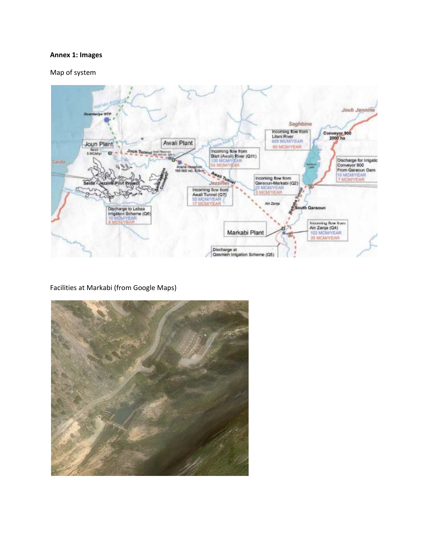#### **Annex 1: Images**

Map of system



Facilities at Markabi (from Google Maps)

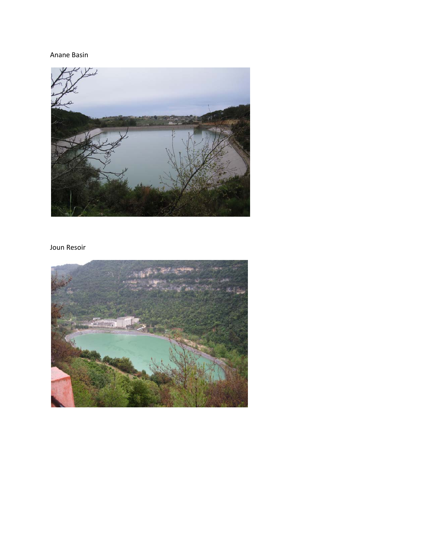## Anane Basin



## Joun Resoir

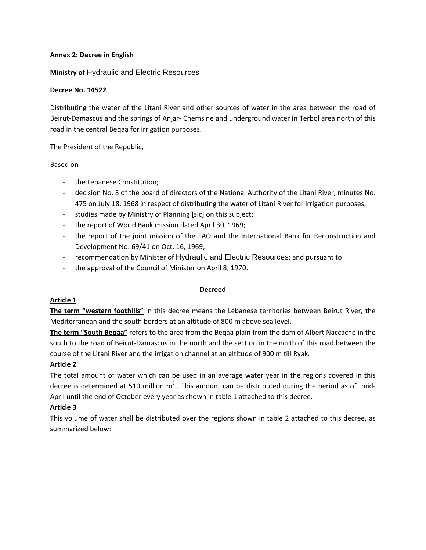#### **Annex 2: Decree in English**

#### **Ministry of** Hydraulic and Electric Resources

#### **Decree No. 14522**

Distributing the water of the Litani River and other sources of water in the area between the road of Beirut‐Damascus and the springs of Anjar‐ Chemsine and underground water in Terbol area north of this road in the central Beqaa for irrigation purposes.

The President of the Republic,

Based on

- ‐ the Lebanese Constitution;
- ‐ decision No. 3 of the board of directors of the National Authority of the Litani River, minutes No. 475 on July 18, 1968 in respect of distributing the water of Litani River for irrigation purposes;
- ‐ studies made by Ministry of Planning [sic] on this subject;
- ‐ the report of World Bank mission dated April 30, 1969;
- ‐ the report of the joint mission of the FAO and the International Bank for Reconstruction and Development No. 69/41 on Oct. 16, 1969;
- ‐ recommendation by Minister of Hydraulic and Electric Resources; and pursuant to
- ‐ the approval of the Council of Minister on April 8, 1970.

#### ‐

#### **Decreed**

#### **Article 1**

**The term "western foothills"** in this decree means the Lebanese territories between Beirut River, the Mediterranean and the south borders at an altitude of 800 m above sea level.

**The term "South Beqaa"** refers to the area from the Beqaa plain from the dam of Albert Naccache in the south to the road of Beirut‐Damascus in the north and the section in the north of this road between the course of the Litani River and the irrigation channel at an altitude of 900 m till Ryak.

#### **Article 2**

The total amount of water which can be used in an average water year in the regions covered in this decree is determined at 510 million  $m<sup>3</sup>$ . This amount can be distributed during the period as of mid-April until the end of October every year as shown in table 1 attached to this decree.

## **Article 3**

This volume of water shall be distributed over the regions shown in table 2 attached to this decree, as summarized below: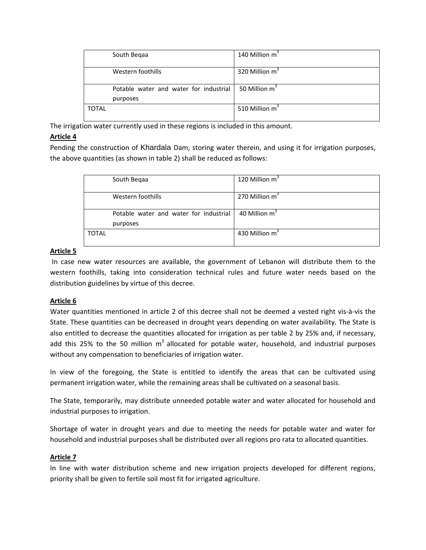|              | South Begaa                            | 140 Million m <sup>3</sup> |
|--------------|----------------------------------------|----------------------------|
|              | Western foothills                      | 320 Million m <sup>3</sup> |
|              |                                        |                            |
|              | Potable water and water for industrial | 50 Million m <sup>3</sup>  |
|              | purposes                               |                            |
| <b>TOTAL</b> |                                        | 510 Million m <sup>3</sup> |
|              |                                        |                            |

The irrigation water currently used in these regions is included in this amount.

## **Article 4**

Pending the construction of Khardala Dam, storing water therein, and using it for irrigation purposes, the above quantities (as shown in table 2) shall be reduced as follows:

|              | South Begaa                            | 120 Million m <sup>3</sup> |
|--------------|----------------------------------------|----------------------------|
|              | Western foothills                      | 270 Million m <sup>3</sup> |
|              | Potable water and water for industrial | 40 Million m <sup>3</sup>  |
|              | purposes                               |                            |
| <b>TOTAL</b> |                                        | 430 Million m <sup>3</sup> |

## **Article 5**

In case new water resources are available, the government of Lebanon will distribute them to the western foothills, taking into consideration technical rules and future water needs based on the distribution guidelines by virtue of this decree.

## **Article 6**

Water quantities mentioned in article 2 of this decree shall not be deemed a vested right vis‐à‐vis the State. These quantities can be decreased in drought years depending on water availability. The State is also entitled to decrease the quantities allocated for irrigation as per table 2 by 25% and, if necessary, add this 25% to the 50 million  $m<sup>3</sup>$  allocated for potable water, household, and industrial purposes without any compensation to beneficiaries of irrigation water.

In view of the foregoing, the State is entitled to identify the areas that can be cultivated using permanent irrigation water, while the remaining areas shall be cultivated on a seasonal basis.

The State, temporarily, may distribute unneeded potable water and water allocated for household and industrial purposes to irrigation.

Shortage of water in drought years and due to meeting the needs for potable water and water for household and industrial purposes shall be distributed over all regions pro rata to allocated quantities.

## **Article 7**

In line with water distribution scheme and new irrigation projects developed for different regions, priority shall be given to fertile soil most fit for irrigated agriculture.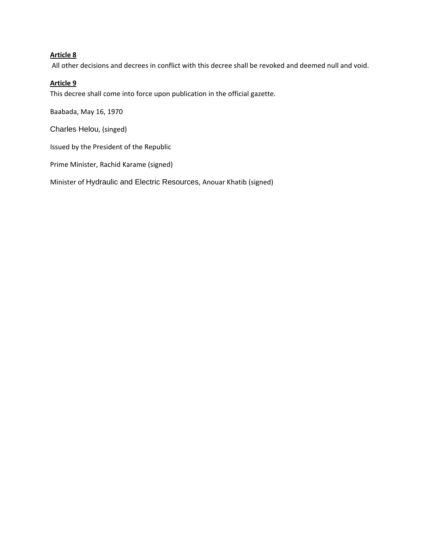## **Article 8**

All other decisions and decrees in conflict with this decree shall be revoked and deemed null and void.

## **Article 9**

This decree shall come into force upon publication in the official gazette.

Baabada, May 16, 1970

Charles Helou, (singed)

Issued by the President of the Republic

Prime Minister, Rachid Karame (signed)

Minister of Hydraulic and Electric Resources, Anouar Khatib (signed)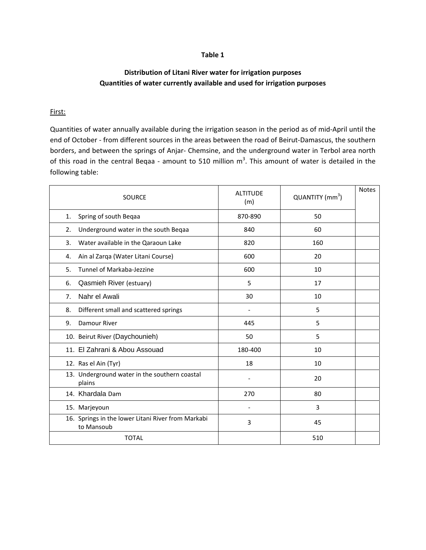#### **Table 1**

## **Distribution of Litani River water for irrigation purposes Quantities of water currently available and used for irrigation purposes**

#### First:

Quantities of water annually available during the irrigation season in the period as of mid‐April until the end of October - from different sources in the areas between the road of Beirut-Damascus, the southern borders, and between the springs of Anjar‐ Chemsine, and the underground water in Terbol area north of this road in the central Beqaa - amount to 510 million  $m^3$ . This amount of water is detailed in the following table:

| <b>SOURCE</b>                                                    | <b>ALTITUDE</b><br>(m) | QUANTITY (mm <sup>3</sup> ) | <b>Notes</b> |
|------------------------------------------------------------------|------------------------|-----------------------------|--------------|
| Spring of south Beqaa<br>1.                                      | 870-890                | 50                          |              |
| Underground water in the south Beqaa<br>2.                       | 840                    | 60                          |              |
| Water available in the Qaraoun Lake<br>3.                        | 820                    | 160                         |              |
| Ain al Zarqa (Water Litani Course)<br>4.                         | 600                    | 20                          |              |
| Tunnel of Markaba-Jezzine<br>5.                                  | 600                    | 10                          |              |
| Qasmieh River (estuary)<br>6.                                    | 5                      | 17                          |              |
| Nahr el Awali<br>7.                                              | 30                     | 10                          |              |
| Different small and scattered springs<br>8.                      |                        | 5                           |              |
| Damour River<br>9.                                               | 445                    | 5                           |              |
| 10. Beirut River (Daychounieh)                                   | 50                     | 5                           |              |
| 11. El Zahrani & Abou Assouad                                    | 180-400                | 10                          |              |
| 12. Ras el Ain (Tyr)                                             | 18                     | 10                          |              |
| 13. Underground water in the southern coastal<br>plains          |                        | 20                          |              |
| 14. Khardala Dam                                                 | 270                    | 80                          |              |
| 15. Marjeyoun                                                    |                        | 3                           |              |
| 16. Springs in the lower Litani River from Markabi<br>to Mansoub | 3                      | 45                          |              |
| <b>TOTAL</b>                                                     |                        | 510                         |              |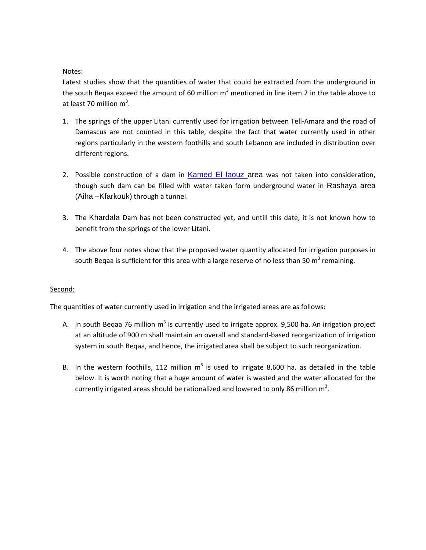#### Notes:

Latest studies show that the quantities of water that could be extracted from the underground in the south Begaa exceed the amount of 60 million  $m^3$  mentioned in line item 2 in the table above to at least 70 million  $m^3$ .

- 1. The springs of the upper Litani currently used for irrigation between Tell‐Amara and the road of Damascus are not counted in this table, despite the fact that water currently used in other regions particularly in the western foothills and south Lebanon are included in distribution over different regions.
- 2. Possible construction of a dam in Kamed El laouz area was not taken into consideration, though such dam can be filled with water taken form underground water in Rashaya area (Aiha –Kfarkouk) through a tunnel.
- 3. The Khardala Dam has not been constructed yet, and untill this date, it is not known how to benefit from the springs of the lower Litani.
- 4. The above four notes show that the proposed water quantity allocated for irrigation purposes in south Beqaa is sufficient for this area with a large reserve of no less than 50  $m<sup>3</sup>$  remaining.

#### Second:

The quantities of water currently used in irrigation and the irrigated areas are as follows:

- A. In south Beqaa 76 million  $m^3$  is currently used to irrigate approx. 9,500 ha. An irrigation project at an altitude of 900 m shall maintain an overall and standard‐based reorganization of irrigation system in south Beqaa, and hence, the irrigated area shall be subject to such reorganization.
- B. In the western foothills, 112 million  $m<sup>3</sup>$  is used to irrigate 8,600 ha. as detailed in the table below. It is worth noting that a huge amount of water is wasted and the water allocated for the currently irrigated areas should be rationalized and lowered to only 86 million  $m^3$ .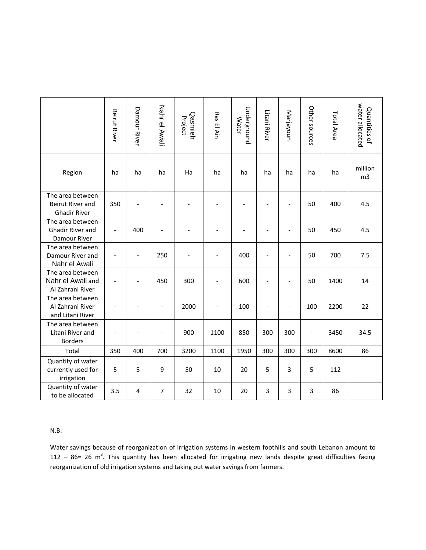|                                                                                                                                                                                                                                                                                                                                   | Beirut River                 | Damour River   | Nahr el Awali                | Qasmieh<br>Project       | Ras El Ain               | Underground<br><b>Water</b> | Litani River             | Marjayoun                | Other sources  | Total Area | water allocated<br>Quantities of |
|-----------------------------------------------------------------------------------------------------------------------------------------------------------------------------------------------------------------------------------------------------------------------------------------------------------------------------------|------------------------------|----------------|------------------------------|--------------------------|--------------------------|-----------------------------|--------------------------|--------------------------|----------------|------------|----------------------------------|
| Region                                                                                                                                                                                                                                                                                                                            | ha                           | ha             | ha                           | Ha                       | ha                       | ha                          | ha                       | ha                       | ha             | ha         | million<br>m <sub>3</sub>        |
| The area between<br>Beirut River and<br><b>Ghadir River</b>                                                                                                                                                                                                                                                                       | 350                          |                | $\overline{\phantom{a}}$     |                          |                          |                             |                          | $\overline{a}$           | 50             | 400        | 4.5                              |
| The area between<br>Ghadir River and<br>Damour River                                                                                                                                                                                                                                                                              | $\overline{\phantom{a}}$     | 400            | Ĭ.                           |                          |                          |                             |                          |                          | 50             | 450        | 4.5                              |
| The area between<br>Damour River and<br>Nahr el Awali                                                                                                                                                                                                                                                                             | $\overline{\phantom{0}}$     | $\overline{a}$ | 250                          | $\overline{\phantom{0}}$ | $\overline{\phantom{a}}$ | 400                         | $\overline{a}$           | $\overline{a}$           | 50             | 700        | 7.5                              |
| The area between<br>Nahr el Awali and<br>Al Zahrani River                                                                                                                                                                                                                                                                         | $\qquad \qquad \blacksquare$ |                | 450                          | 300                      | $\overline{\phantom{a}}$ | 600                         | $\overline{\phantom{a}}$ | $\qquad \qquad -$        | 50             | 1400       | 14                               |
| The area between<br>Al Zahrani River<br>and Litani River                                                                                                                                                                                                                                                                          | $\qquad \qquad \blacksquare$ |                | $\qquad \qquad -$            | 2000                     | $\overline{\phantom{a}}$ | 100                         | $\overline{\phantom{a}}$ | $\overline{\phantom{0}}$ | 100            | 2200       | 22                               |
| The area between<br>Litani River and<br><b>Borders</b>                                                                                                                                                                                                                                                                            |                              |                | $\qquad \qquad \blacksquare$ | 900                      | 1100                     | 850                         | 300                      | 300                      | $\overline{a}$ | 3450       | 34.5                             |
| Total                                                                                                                                                                                                                                                                                                                             | 350                          | 400            | 700                          | 3200                     | 1100                     | 1950                        | 300                      | 300                      | 300            | 8600       | 86                               |
| Quantity of water<br>currently used for<br>irrigation                                                                                                                                                                                                                                                                             | 5                            | 5              | 9                            | 50                       | 10                       | 20                          | 5                        | 3                        | 5              | 112        |                                  |
| Quantity of water<br>to be allocated                                                                                                                                                                                                                                                                                              | 3.5                          | 4              | $\overline{7}$               | 32                       | 10                       | 20                          | 3                        | 3                        | 3              | 86         |                                  |
| N.B:<br>Water savings because of reorganization of irrigation systems in western foothills and south Lebanon amount to<br>112 - 86= 26 $m^3$ . This quantity has been allocated for irrigating new lands despite great difficulties facing<br>reorganization of old irrigation systems and taking out water savings from farmers. |                              |                |                              |                          |                          |                             |                          |                          |                |            |                                  |

#### N.B: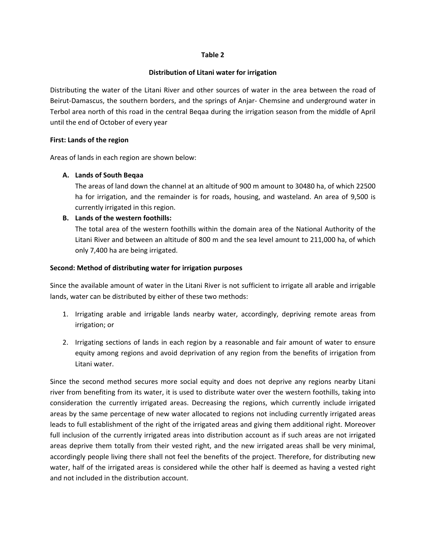#### **Table 2**

#### **Distribution of Litani water for irrigation**

Distributing the water of the Litani River and other sources of water in the area between the road of Beirut‐Damascus, the southern borders, and the springs of Anjar‐ Chemsine and underground water in Terbol area north of this road in the central Beqaa during the irrigation season from the middle of April until the end of October of every year

#### **First: Lands of the region**

Areas of lands in each region are shown below:

#### **A. Lands of South Beqaa**

The areas of land down the channel at an altitude of 900 m amount to 30480 ha, of which 22500 ha for irrigation, and the remainder is for roads, housing, and wasteland. An area of 9,500 is currently irrigated in this region.

#### **B. Lands of the western foothills:**

The total area of the western foothills within the domain area of the National Authority of the Litani River and between an altitude of 800 m and the sea level amount to 211,000 ha, of which only 7,400 ha are being irrigated.

#### **Second: Method of distributing water for irrigation purposes**

Since the available amount of water in the Litani River is not sufficient to irrigate all arable and irrigable lands, water can be distributed by either of these two methods:

- 1. Irrigating arable and irrigable lands nearby water, accordingly, depriving remote areas from irrigation; or
- 2. Irrigating sections of lands in each region by a reasonable and fair amount of water to ensure equity among regions and avoid deprivation of any region from the benefits of irrigation from Litani water.

Since the second method secures more social equity and does not deprive any regions nearby Litani river from benefiting from its water, it is used to distribute water over the western foothills, taking into consideration the currently irrigated areas. Decreasing the regions, which currently include irrigated areas by the same percentage of new water allocated to regions not including currently irrigated areas leads to full establishment of the right of the irrigated areas and giving them additional right. Moreover full inclusion of the currently irrigated areas into distribution account as if such areas are not irrigated areas deprive them totally from their vested right, and the new irrigated areas shall be very minimal, accordingly people living there shall not feel the benefits of the project. Therefore, for distributing new water, half of the irrigated areas is considered while the other half is deemed as having a vested right and not included in the distribution account.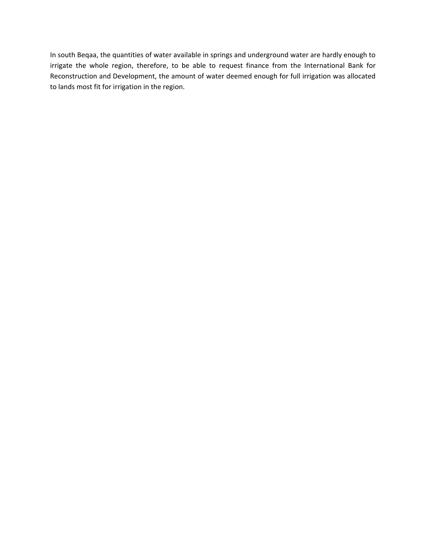In south Beqaa, the quantities of water available in springs and underground water are hardly enough to irrigate the whole region, therefore, to be able to request finance from the International Bank for Reconstruction and Development, the amount of water deemed enough for full irrigation was allocated to lands most fit for irrigation in the region.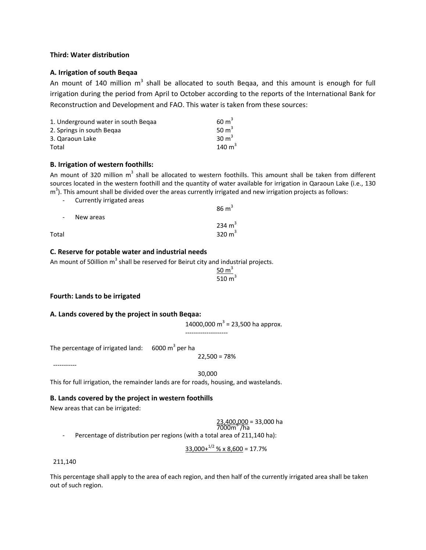#### **Third: Water distribution**

#### **A. Irrigation of south Beqaa**

An mount of 140 million  $m<sup>3</sup>$  shall be allocated to south Beqaa, and this amount is enough for full irrigation during the period from April to October according to the reports of the International Bank for Reconstruction and Development and FAO. This water is taken from these sources:

| 1. Underground water in south Begaa | $60 \text{ m}^3$ |
|-------------------------------------|------------------|
| 2. Springs in south Begaa           | 50 $m3$          |
| 3. Qaraoun Lake                     | $30 \text{ m}^3$ |
| Total                               | 140 $m3$         |

#### **B. Irrigation of western foothills:**

An mount of 320 million  $m<sup>3</sup>$  shall be allocated to western foothills. This amount shall be taken from different sources located in the western foothill and the quantity of water available for irrigation in Qaraoun Lake (i.e., 130  $m<sup>3</sup>$ ). This amount shall be divided over the areas currently irrigated and new irrigation projects as follows:

‐ Currently irrigated areas

|                          |           | 86 m     |
|--------------------------|-----------|----------|
| $\overline{\phantom{a}}$ | New areas | 234 $m3$ |
|                          |           |          |
| Total                    |           | 320 $m3$ |

#### **C. Reserve for potable water and industrial needs**

An mount of 50illion  $m<sup>3</sup>$  shall be reserved for Beirut city and industrial projects.

 $\frac{50 \text{ m}^3}{ }$ 510 m

 $ac<sup>3</sup>$ 

#### **Fourth: Lands to be irrigated**

#### **A. Lands covered by the project in south Beqaa:**

14000,000  $m^3$  = 23,500 ha approx. ‐‐‐‐‐‐‐‐‐‐‐‐‐‐‐‐‐‐‐‐

The percentage of irrigated land:  $6000 \text{ m}^3$  per ha

22,500 = 78%

30,000

This for full irrigation, the remainder lands are for roads, housing, and wastelands.

#### **B. Lands covered by the project in western foothills**

New areas that can be irrigated:

 $\frac{23,400,000}{7000m^2}$  = 33,000 ha

Percentage of distribution per regions (with a total area of 211,140 ha):

 $33,000+^{1/2}$  % x 8,600 = 17.7%

#### 211,140

‐‐‐‐‐‐‐‐‐‐‐

This percentage shall apply to the area of each region, and then half of the currently irrigated area shall be taken out of such region.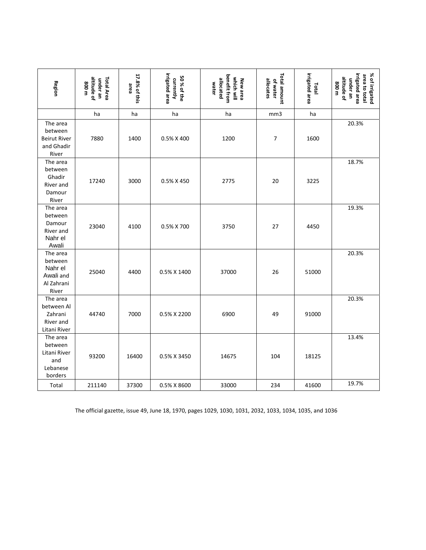| Region                                                             | altitude of<br>Total Area<br>under an<br>800 m | 17.8% of this<br>area | irrigated area<br>50 % of the<br>currently | benefit from<br>which will<br>allocated<br>New area<br>water | Total amount<br>allocates<br>of water | irrigated area<br>Total | irrigated area<br>% of irrigated<br>area to total<br>altitude of<br>under an<br>800 m |
|--------------------------------------------------------------------|------------------------------------------------|-----------------------|--------------------------------------------|--------------------------------------------------------------|---------------------------------------|-------------------------|---------------------------------------------------------------------------------------|
|                                                                    | ha                                             | ha                    | ha                                         | ha                                                           | mm3                                   | ha                      |                                                                                       |
| The area<br>between<br><b>Beirut River</b><br>and Ghadir<br>River  | 7880                                           | 1400                  | 0.5% X 400                                 | 1200                                                         | 7                                     | 1600                    | 20.3%                                                                                 |
| The area<br>between<br>Ghadir<br>River and<br>Damour<br>River      | 17240                                          | 3000                  | 0.5% X 450                                 | 2775                                                         | 20                                    | 3225                    | 18.7%                                                                                 |
| The area<br>between<br>Damour<br>River and<br>Nahr el<br>Awali     | 23040                                          | 4100                  | 0.5% X 700                                 | 3750                                                         | 27                                    | 4450                    | 19.3%                                                                                 |
| The area<br>between<br>Nahr el<br>Awali and<br>Al Zahrani<br>River | 25040                                          | 4400                  | 0.5% X 1400                                | 37000                                                        | 26                                    | 51000                   | 20.3%                                                                                 |
| The area<br>between Al<br>Zahrani<br>River and<br>Litani River     | 44740                                          | 7000                  | 0.5% X 2200                                | 6900                                                         | 49                                    | 91000                   | 20.3%                                                                                 |
| The area<br>between<br>Litani River<br>and<br>Lebanese<br>borders  | 93200                                          | 16400                 | 0.5% X 3450                                | 14675                                                        | 104                                   | 18125                   | 13.4%                                                                                 |
| Total                                                              | 211140                                         | 37300                 | 0.5% X 8600                                | 33000                                                        | 234                                   | 41600                   | 19.7%                                                                                 |

The official gazette, issue 49, June 18, 1970, pages 1029, 1030, 1031, 2032, 1033, 1034, 1035, and 1036